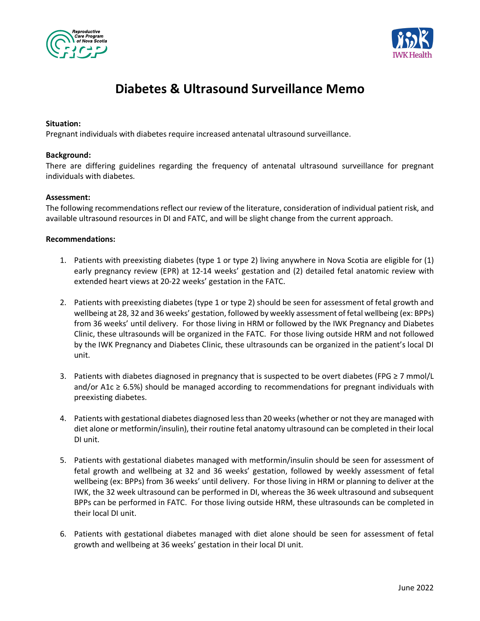



# **Diabetes & Ultrasound Surveillance Memo**

## **Situation:**

Pregnant individuals with diabetes require increased antenatal ultrasound surveillance.

#### **Background:**

There are differing guidelines regarding the frequency of antenatal ultrasound surveillance for pregnant individuals with diabetes.

## **Assessment:**

The following recommendations reflect our review of the literature, consideration of individual patient risk, and available ultrasound resources in DI and FATC, and will be slight change from the current approach.

## **Recommendations:**

- 1. Patients with preexisting diabetes (type 1 or type 2) living anywhere in Nova Scotia are eligible for (1) early pregnancy review (EPR) at 12-14 weeks' gestation and (2) detailed fetal anatomic review with extended heart views at 20-22 weeks' gestation in the FATC.
- 2. Patients with preexisting diabetes (type 1 or type 2) should be seen for assessment of fetal growth and wellbeing at 28, 32 and 36 weeks' gestation, followed by weekly assessment of fetal wellbeing (ex: BPPs) from 36 weeks' until delivery. For those living in HRM or followed by the IWK Pregnancy and Diabetes Clinic, these ultrasounds will be organized in the FATC. For those living outside HRM and not followed by the IWK Pregnancy and Diabetes Clinic, these ultrasounds can be organized in the patient's local DI unit.
- 3. Patients with diabetes diagnosed in pregnancy that is suspected to be overt diabetes (FPG ≥ 7 mmol/L and/or A1 $c \ge 6.5\%$ ) should be managed according to recommendations for pregnant individuals with preexisting diabetes.
- 4. Patients with gestational diabetes diagnosed less than 20 weeks (whether or not they are managed with diet alone or metformin/insulin), their routine fetal anatomy ultrasound can be completed in their local DI unit.
- 5. Patients with gestational diabetes managed with metformin/insulin should be seen for assessment of fetal growth and wellbeing at 32 and 36 weeks' gestation, followed by weekly assessment of fetal wellbeing (ex: BPPs) from 36 weeks' until delivery. For those living in HRM or planning to deliver at the IWK, the 32 week ultrasound can be performed in DI, whereas the 36 week ultrasound and subsequent BPPs can be performed in FATC. For those living outside HRM, these ultrasounds can be completed in their local DI unit.
- 6. Patients with gestational diabetes managed with diet alone should be seen for assessment of fetal growth and wellbeing at 36 weeks' gestation in their local DI unit.